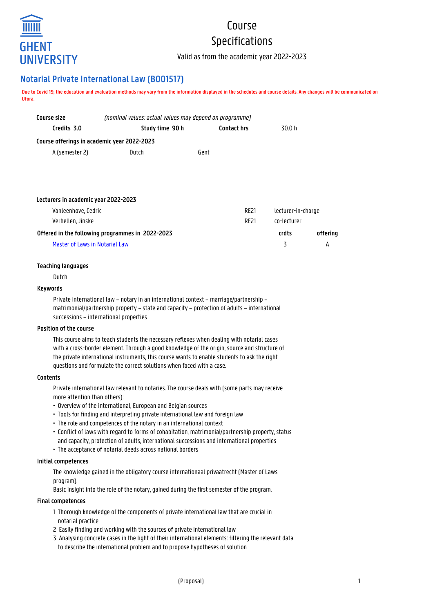

# Course Specifications

Valid as from the academic year 2022-2023

# **Notarial Private International Law (B001517)**

**Due to Covid 19, the education and evaluation methods may vary from the information displayed in the schedules and course details. Any changes will be communicated on Ufora.**

| Course size<br>(nominal values; actual values may depend on programme) |                 |      |                    |                    |          |
|------------------------------------------------------------------------|-----------------|------|--------------------|--------------------|----------|
| Credits 3.0                                                            | Study time 90 h |      | <b>Contact hrs</b> | 30.0 h             |          |
| Course offerings in academic year 2022-2023                            |                 |      |                    |                    |          |
| A (semester 2)                                                         | Dutch           | Gent |                    |                    |          |
|                                                                        |                 |      |                    |                    |          |
|                                                                        |                 |      |                    |                    |          |
|                                                                        |                 |      |                    |                    |          |
| Lecturers in academic year 2022-2023                                   |                 |      |                    |                    |          |
| Vanleenhove, Cedric                                                    |                 |      | <b>RE21</b>        | lecturer-in-charge |          |
| Verhellen, Jinske                                                      |                 |      | <b>RE21</b>        | co-lecturer        |          |
| Offered in the following programmes in 2022-2023                       |                 |      |                    | crdts              | offering |

Master of Laws in Notarial Law 3 A

## **Teaching languages**

Dutch

## **Keywords**

Private international law – notary in an international context – marriage/partnership – matrimonial/partnership property – state and capacity – protection of adults – international successions – international properties

#### **Position of the course**

This course aims to teach students the necessary reflexes when dealing with notarial cases with a cross-border element. Through a good knowledge of the origin, source and structure of the private international instruments, this course wants to enable students to ask the right questions and formulate the correct solutions when faced with a case.

# **Contents**

Private international law relevant to notaries. The course deals with (some parts may receive more attention than others):

- Overview of the international, European and Belgian sources
- Tools for finding and interpreting private international law and foreign law
- The role and competences of the notary in an international context
- Conflict of laws with regard to forms of cohabitation, matrimonial/partnership property, status • and capacity, protection of adults, international successions and international properties
- The acceptance of notarial deeds across national borders

### **Initial competences**

The knowledge gained in the obligatory course internationaal privaatrecht (Master of Laws program).

Basic insight into the role of the notary, gained during the first semester of the program.

#### **Final competences**

- 1 Thorough knowledge of the components of private international law that are crucial in 1 notarial practice
- 2 Easily finding and working with the sources of private international law
- 3 Analysing concrete cases in the light of their international elements: filtering the relevant data to describe the international problem and to propose hypotheses of solution